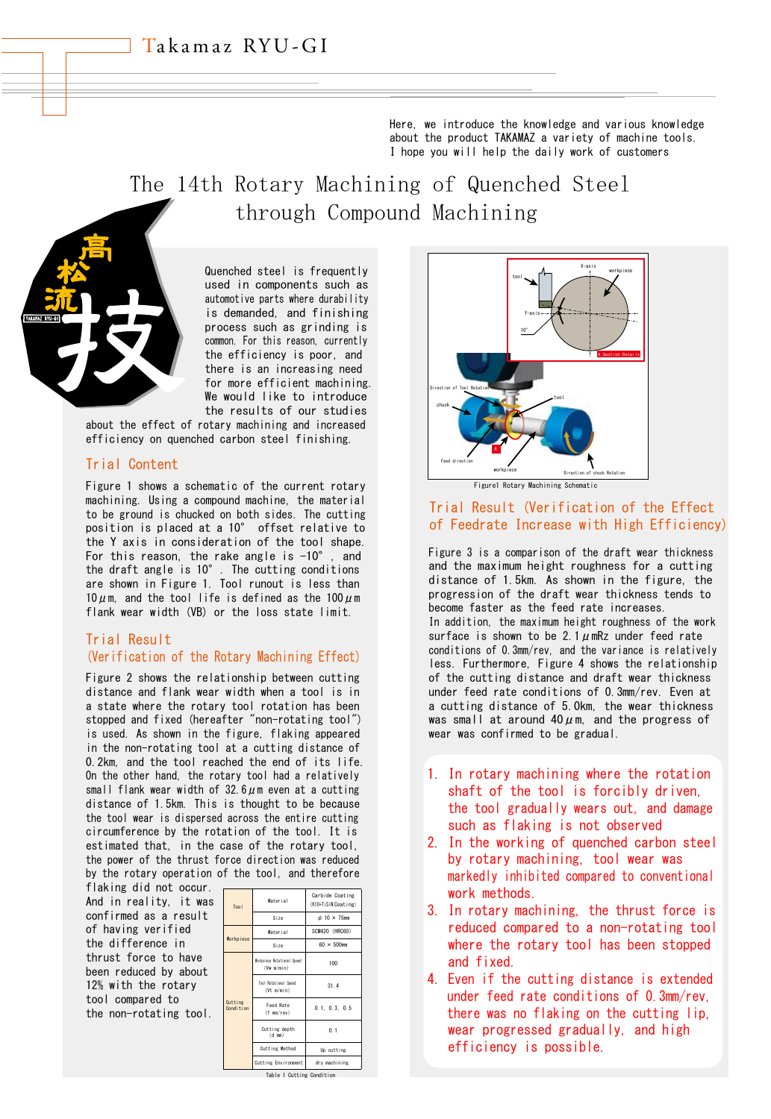Here, we introduce the knowledge and various knowledge about the product TAKAMAZ a variety of machine tools. I hope you will help the daily work of customers

# The 14th Rotary Machining of Quenched Steel through Compound Machining



Quenched steel is frequently used in components such as automotive parts where durability is demanded, and finishing process such as grinding is common. For this reason, currently the efficiency is poor, and there is an increasing need for more efficient machining. We would like to introduce the results of our studies

about the effect of rotary machining and increased efficiency on quenched carbon steel finishing.

# Trial Content

Figure 1 shows a schematic of the current rotary machining. Using a compound machine, the material to be ground is chucked on both sides. The cutting position is placed at a 10° offset relative to the Y axis in consideration of the tool shape. For this reason, the rake angle is  $-10^{\circ}$ , and the draft angle is 10°. The cutting conditions are shown in Figure 1. Tool runout is less than  $10 \mu$ m, and the tool life is defined as the  $100 \mu$ m flank wear width (VB) or the loss state limit.

### Trial Result

#### (Verification of the Rotary Machining Effect)

Figure 2 shows the relationship between cutting distance and flank wear width when a tool is in a state where the rotary tool rotation has been stopped and fixed (hereafter "non-rotating tool") is used. As shown in the figure, flaking appeared in the non-rotating tool at a cutting distance of 0.2km, and the tool reached the end of its life. On the other hand, the rotary tool had a relatively small flank wear width of 32.6 $\mu$ m even at a cutting distance of 1.5km. This is thought to be because the tool wear is dispersed across the entire cutting circumference by the rotation of the tool. It is estimated that, in the case of the rotary tool, the power of the thrust force direction was reduced by the rotary operation of the tool, and therefore

flaking did not occur. And in reality, it was confirmed as a result of having verified the difference in thrust force to have been reduced by about 12% with the rotary tool compared to the non-rotating tool.

| Tool                 | Material                                 | Carbide Coating<br>(K10+TiSiN Coating) |
|----------------------|------------------------------------------|----------------------------------------|
|                      | Size                                     | $\phi$ 10 $\times$ 75mm                |
| Workpiece            | Material                                 | SCM420 (HRC60)                         |
|                      | Size                                     | $60 \times 500$ mm                     |
| Cutting<br>Condition | Norkpiece Rotational Speed<br>(Vm m/min) | 100                                    |
|                      | Tool Rotational Speed<br>(Vt m/min)      | 31.4                                   |
|                      | Feed Rate<br>$(f \text{mm/rev})$         | 0.1.0.3.0.5                            |
|                      | Cutting depth<br>$(d + mm)$              | 0.1                                    |
|                      | <b>Cutting Method</b>                    | Up cutting                             |
|                      | Cutting Environment                      | dry machining                          |





## Trial Result (Verification of the Effect of Feedrate Increase with High Efficiency)

Figure 3 is a comparison of the draft wear thickness and the maximum height roughness for a cutting distance of 1.5km. As shown in the figure, the progression of the draft wear thickness tends to become faster as the feed rate increases. In addition, the maximum height roughness of the work surface is shown to be 2.1  $\mu$  mRz under feed rate conditions of 0.3mm/rev, and the variance is relatively less. Furthermore, Figure 4 shows the relationship of the cutting distance and draft wear thickness under feed rate conditions of 0.3mm/rev. Even at a cutting distance of 5.0km, the wear thickness was small at around  $40 \mu$ m, and the progress of wear was confirmed to be gradual.

- 1. In rotary machining where the rotation shaft of the tool is forcibly driven, the tool gradually wears out, and damage such as flaking is not observed
- 2. In the working of quenched carbon steel by rotary machining, tool wear was markedly inhibited compared to conventional work methods.
- 3. In rotary machining, the thrust force is reduced compared to a non-rotating tool where the rotary tool has been stopped and fixed.
- 4. Even if the cutting distance is extended under feed rate conditions of 0.3mm/rev, there was no flaking on the cutting lip, wear progressed gradually, and high efficiency is possible.